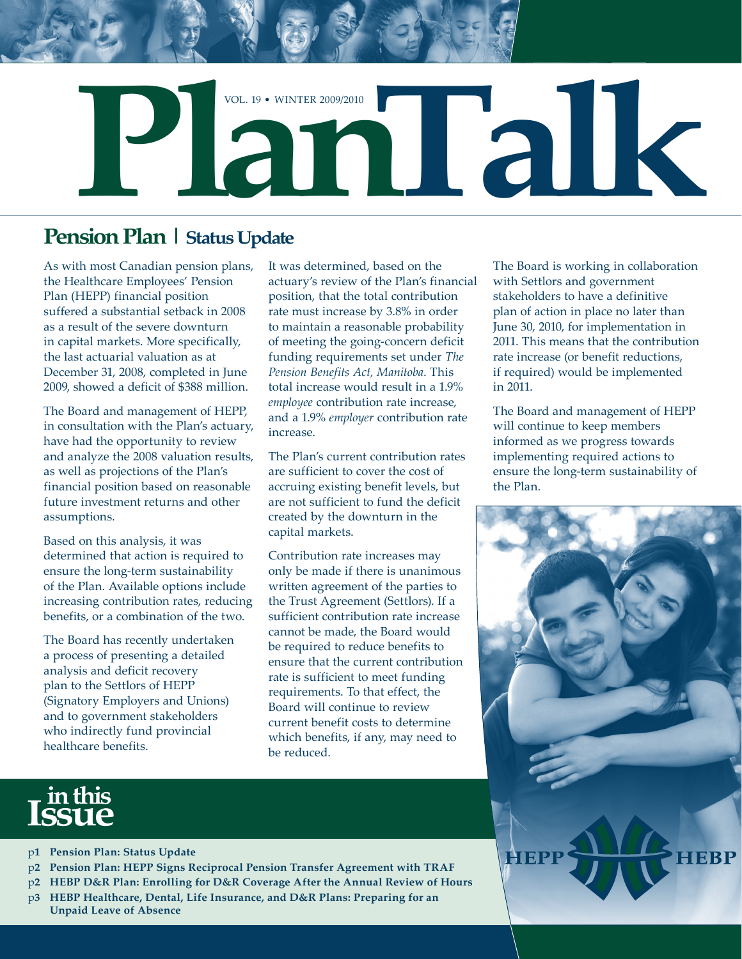

## **Pension Plan | Status Update**

As with most Canadian pension plans, the Healthcare Employees' Pension Plan (HEPP) financial position suffered a substantial setback in 2008 as a result of the severe downturn in capital markets. More specifically, the last actuarial valuation as at December 31, 2008, completed in June 2009, showed a deficit of \$388 million.

The Board and management of HEPP, in consultation with the Plan's actuary, have had the opportunity to review and analyze the 2008 valuation results, as well as projections of the Plan's financial position based on reasonable future investment returns and other assumptions.

Based on this analysis, it was determined that action is required to ensure the long-term sustainability of the Plan. Available options include increasing contribution rates, reducing benefits, or a combination of the two.

The Board has recently undertaken a process of presenting a detailed analysis and deficit recovery plan to the Settlors of HEPP (Signatory Employers and Unions) and to government stakeholders who indirectly fund provincial healthcare benefits.

It was determined, based on the actuary's review of the Plan's financial position, that the total contribution rate must increase by 3.8% in order to maintain a reasonable probability of meeting the going-concern deficit funding requirements set under *The Pension Benefits Act, Manitoba*. This total increase would result in a 1.9% *employee* contribution rate increase, and a 1.9% *employer* contribution rate increase.

The Plan's current contribution rates are sufficient to cover the cost of accruing existing benefit levels, but are not sufficient to fund the deficit created by the downturn in the capital markets.

Contribution rate increases may only be made if there is unanimous written agreement of the parties to the Trust Agreement (Settlors). If a sufficient contribution rate increase cannot be made, the Board would be required to reduce benefits to ensure that the current contribution rate is sufficient to meet funding requirements. To that effect, the Board will continue to review current benefit costs to determine which benefits, if any, may need to be reduced.

The Board is working in collaboration with Settlors and government stakeholders to have a definitive plan of action in place no later than June 30, 2010, for implementation in 2011. This means that the contribution rate increase (or benefit reductions, if required) would be implemented in 2011.

The Board and management of HEPP will continue to keep members informed as we progress towards implementing required actions to ensure the long-term sustainability of the Plan.



# **in this Issue**

- p**1 Pension Plan: Status Update**
- p**2 Pension Plan: HEPP Signs Reciprocal Pension Transfer Agreement with TRAF**
- p**2 HEBP D&R Plan: Enrolling for D&R Coverage After the Annual Review of Hours**
- p**3 HEBP Healthcare, Dental, Life Insurance, and D&R Plans: Preparing for an Unpaid Leave of Absence**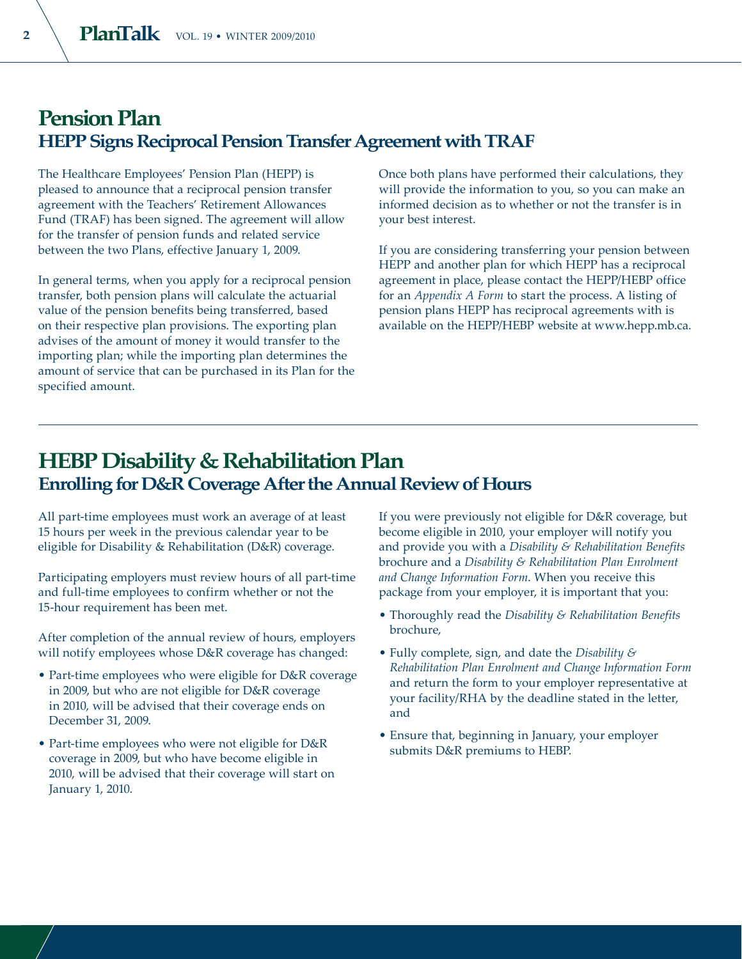#### **Pension Plan HEPP Signs Reciprocal Pension Transfer Agreement with TRAF**

The Healthcare Employees' Pension Plan (HEPP) is pleased to announce that a reciprocal pension transfer agreement with the Teachers' Retirement Allowances Fund (TRAF) has been signed. The agreement will allow for the transfer of pension funds and related service between the two Plans, effective January 1, 2009.

In general terms, when you apply for a reciprocal pension transfer, both pension plans will calculate the actuarial value of the pension benefits being transferred, based on their respective plan provisions. The exporting plan advises of the amount of money it would transfer to the importing plan; while the importing plan determines the amount of service that can be purchased in its Plan for the specified amount.

Once both plans have performed their calculations, they will provide the information to you, so you can make an informed decision as to whether or not the transfer is in your best interest.

If you are considering transferring your pension between HEPP and another plan for which HEPP has a reciprocal agreement in place, please contact the HEPP/HEBP office for an *Appendix A Form* to start the process. A listing of pension plans HEPP has reciprocal agreements with is available on the HEPP/HEBP website at www.hepp.mb.ca.

#### **HEBP Disability & Rehabilitation Plan Enrolling for D&R Coverage After the Annual Review of Hours**

All part-time employees must work an average of at least 15 hours per week in the previous calendar year to be eligible for Disability & Rehabilitation (D&R) coverage.

Participating employers must review hours of all part-time and full-time employees to confirm whether or not the 15-hour requirement has been met.

After completion of the annual review of hours, employers will notify employees whose D&R coverage has changed:

- Part-time employees who were eligible for D&R coverage in 2009, but who are not eligible for D&R coverage in 2010, will be advised that their coverage ends on December 31, 2009.
- Part-time employees who were not eligible for D&R coverage in 2009, but who have become eligible in 2010, will be advised that their coverage will start on January 1, 2010.

If you were previously not eligible for D&R coverage, but become eligible in 2010, your employer will notify you and provide you with a *Disability & Rehabilitation Benefits* brochure and a *Disability & Rehabilitation Plan Enrolment and Change Information Form*. When you receive this package from your employer, it is important that you:

- Thoroughly read the *Disability & Rehabilitation Benefits* brochure,
- Fully complete, sign, and date the *Disability & Rehabilitation Plan Enrolment and Change Information Form* and return the form to your employer representative at your facility/RHA by the deadline stated in the letter, and
- Ensure that, beginning in January, your employer submits D&R premiums to HEBP.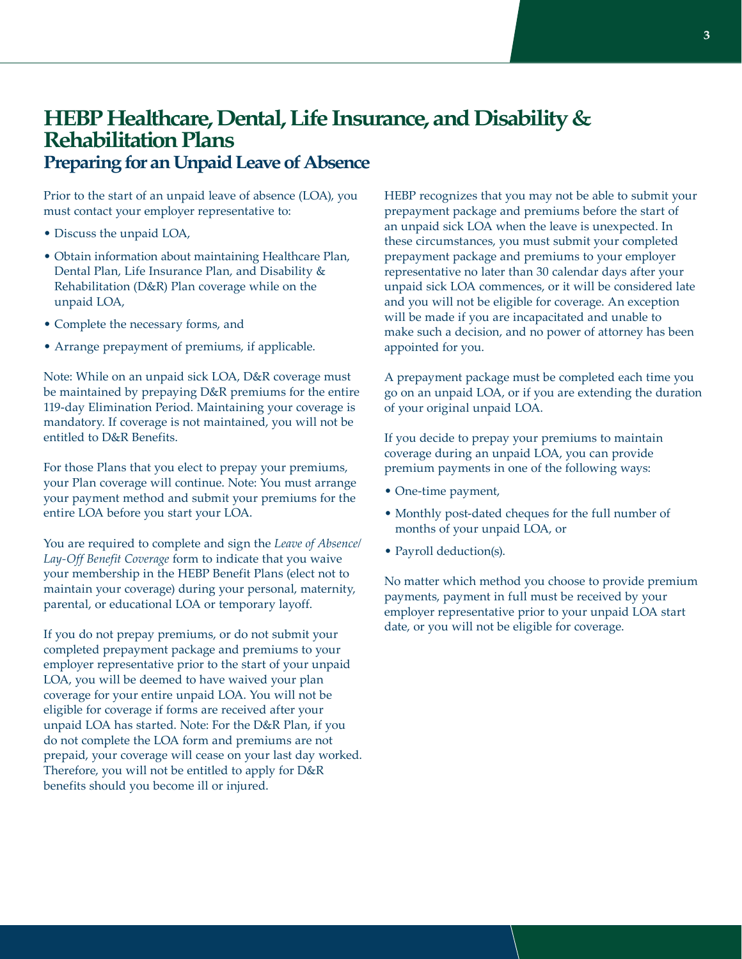#### **HEBP Healthcare, Dental, Life Insurance, and Disability & Rehabilitation Plans Preparing for an Unpaid Leave of Absence**

Prior to the start of an unpaid leave of absence (LOA), you must contact your employer representative to:

- Discuss the unpaid LOA,
- Obtain information about maintaining Healthcare Plan, Dental Plan, Life Insurance Plan, and Disability & Rehabilitation (D&R) Plan coverage while on the unpaid LOA,
- Complete the necessary forms, and
- Arrange prepayment of premiums, if applicable.

Note: While on an unpaid sick LOA, D&R coverage must be maintained by prepaying D&R premiums for the entire 119-day Elimination Period. Maintaining your coverage is mandatory. If coverage is not maintained, you will not be entitled to D&R Benefits.

For those Plans that you elect to prepay your premiums, your Plan coverage will continue. Note: You must arrange your payment method and submit your premiums for the entire LOA before you start your LOA.

You are required to complete and sign the *Leave of Absence/ Lay-Off Benefit Coverage* form to indicate that you waive your membership in the HEBP Benefit Plans (elect not to maintain your coverage) during your personal, maternity, parental, or educational LOA or temporary layoff.

If you do not prepay premiums, or do not submit your completed prepayment package and premiums to your employer representative prior to the start of your unpaid LOA, you will be deemed to have waived your plan coverage for your entire unpaid LOA. You will not be eligible for coverage if forms are received after your unpaid LOA has started. Note: For the D&R Plan, if you do not complete the LOA form and premiums are not prepaid, your coverage will cease on your last day worked. Therefore, you will not be entitled to apply for D&R benefits should you become ill or injured.

HEBP recognizes that you may not be able to submit your prepayment package and premiums before the start of an unpaid sick LOA when the leave is unexpected. In these circumstances, you must submit your completed prepayment package and premiums to your employer representative no later than 30 calendar days after your unpaid sick LOA commences, or it will be considered late and you will not be eligible for coverage. An exception will be made if you are incapacitated and unable to make such a decision, and no power of attorney has been appointed for you.

A prepayment package must be completed each time you go on an unpaid LOA, or if you are extending the duration of your original unpaid LOA.

If you decide to prepay your premiums to maintain coverage during an unpaid LOA, you can provide premium payments in one of the following ways:

- One-time payment,
- Monthly post-dated cheques for the full number of months of your unpaid LOA, or
- Payroll deduction(s).

No matter which method you choose to provide premium payments, payment in full must be received by your employer representative prior to your unpaid LOA start date, or you will not be eligible for coverage.